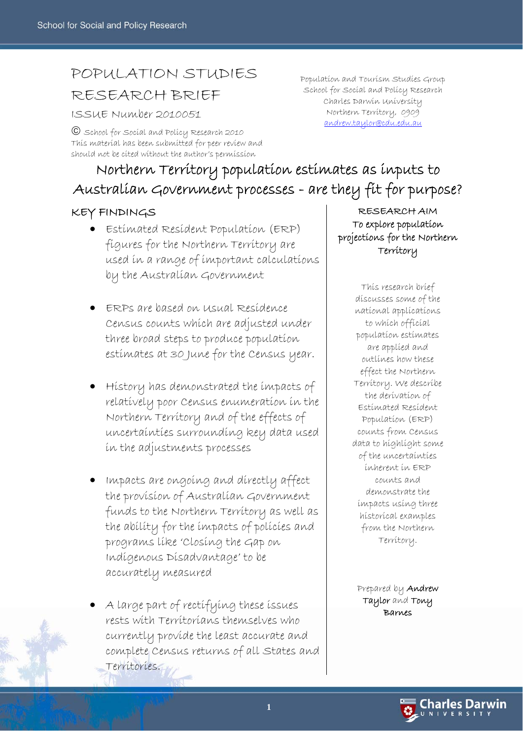# POPULATION STUDIES

## RESEARCH BRIEF

ISSUE Number 2010051

© School for Social and Policy Research 2010 This material has been submitted for peer review and should not be cited without the author's permission

# Northern Territory population estimates as inputs to Australian Government processes - are they fit for purpose?

### KEY FINDINGS

- Estimated Resident Population (ERP) figures for the Northern Territory are used in a range of important calculations by the Australian Government
- ERPs are based on Usual Residence Census counts which are adjusted under three broad steps to produce population estimates at 30 June for the Census year.
- History has demonstrated the impacts of relatively poor Census enumeration in the Northern Territory and of the effects of uncertainties surrounding key data used in the adjustments processes
- Impacts are ongoing and directly affect the provision of Australian Government funds to the Northern Territory as well as the ability for the impacts of policies and programs like 'Closing the Gap on Indigenous Disadvantage' to be accurately measured
- A large part of rectifying these issues rests with Territorians themselves who currently provide the least accurate and complete Census returns of all States and Territories.

Population and Tourism Studies Group School for Social and Policy Research Charles Darwin University Northern Territory, 0909 andrew.taylor@cdu.edu.au

> RESEARCH AIM To explore population projections for the Northern Territory

> > This research brief discusses some of the national applications to which official population estimates are applied and outlines how these effect the Northern Territory. We describe the derivation of Estimated Resident Population (ERP) counts from Census data to highlight some of the uncertainties inherent in ERP counts and demonstrate the impacts using three historical examples from the Northern Territory.

Prepared by **Andrew** Taylor and Tony Barnes

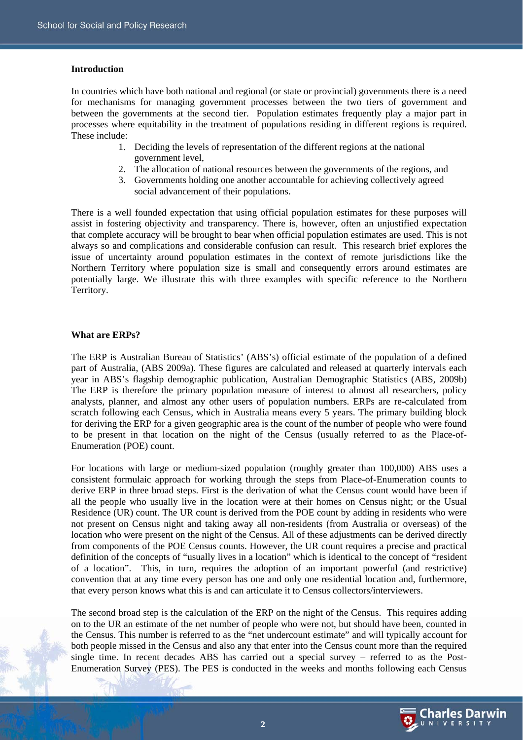#### **Introduction**

In countries which have both national and regional (or state or provincial) governments there is a need for mechanisms for managing government processes between the two tiers of government and between the governments at the second tier. Population estimates frequently play a major part in processes where equitability in the treatment of populations residing in different regions is required. These include:

- 1. Deciding the levels of representation of the different regions at the national government level,
- 2. The allocation of national resources between the governments of the regions, and
- 3. Governments holding one another accountable for achieving collectively agreed social advancement of their populations.

There is a well founded expectation that using official population estimates for these purposes will assist in fostering objectivity and transparency. There is, however, often an unjustified expectation that complete accuracy will be brought to bear when official population estimates are used. This is not always so and complications and considerable confusion can result. This research brief explores the issue of uncertainty around population estimates in the context of remote jurisdictions like the Northern Territory where population size is small and consequently errors around estimates are potentially large. We illustrate this with three examples with specific reference to the Northern Territory.

#### **What are ERPs?**

The ERP is Australian Bureau of Statistics' (ABS's) official estimate of the population of a defined part of Australia, (ABS 2009a). These figures are calculated and released at quarterly intervals each year in ABS's flagship demographic publication, Australian Demographic Statistics (ABS, 2009b) The ERP is therefore the primary population measure of interest to almost all researchers, policy analysts, planner, and almost any other users of population numbers. ERPs are re-calculated from scratch following each Census, which in Australia means every 5 years. The primary building block for deriving the ERP for a given geographic area is the count of the number of people who were found to be present in that location on the night of the Census (usually referred to as the Place-of-Enumeration (POE) count.

For locations with large or medium-sized population (roughly greater than 100,000) ABS uses a consistent formulaic approach for working through the steps from Place-of-Enumeration counts to derive ERP in three broad steps. First is the derivation of what the Census count would have been if all the people who usually live in the location were at their homes on Census night; or the Usual Residence (UR) count. The UR count is derived from the POE count by adding in residents who were not present on Census night and taking away all non-residents (from Australia or overseas) of the location who were present on the night of the Census. All of these adjustments can be derived directly from components of the POE Census counts. However, the UR count requires a precise and practical definition of the concepts of "usually lives in a location" which is identical to the concept of "resident of a location". This, in turn, requires the adoption of an important powerful (and restrictive) convention that at any time every person has one and only one residential location and, furthermore, that every person knows what this is and can articulate it to Census collectors/interviewers.

The second broad step is the calculation of the ERP on the night of the Census. This requires adding on to the UR an estimate of the net number of people who were not, but should have been, counted in the Census. This number is referred to as the "net undercount estimate" and will typically account for both people missed in the Census and also any that enter into the Census count more than the required single time. In recent decades ABS has carried out a special survey – referred to as the Post-Enumeration Survey (PES). The PES is conducted in the weeks and months following each Census

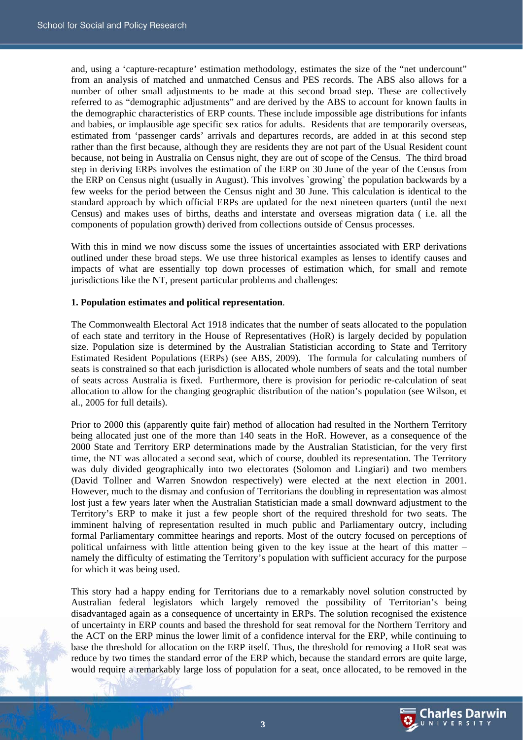and, using a 'capture-recapture' estimation methodology, estimates the size of the "net undercount" from an analysis of matched and unmatched Census and PES records. The ABS also allows for a number of other small adjustments to be made at this second broad step. These are collectively referred to as "demographic adjustments" and are derived by the ABS to account for known faults in the demographic characteristics of ERP counts. These include impossible age distributions for infants and babies, or implausible age specific sex ratios for adults. Residents that are temporarily overseas, estimated from 'passenger cards' arrivals and departures records, are added in at this second step rather than the first because, although they are residents they are not part of the Usual Resident count because, not being in Australia on Census night, they are out of scope of the Census. The third broad step in deriving ERPs involves the estimation of the ERP on 30 June of the year of the Census from the ERP on Census night (usually in August). This involves `growing` the population backwards by a few weeks for the period between the Census night and 30 June. This calculation is identical to the standard approach by which official ERPs are updated for the next nineteen quarters (until the next Census) and makes uses of births, deaths and interstate and overseas migration data ( i.e. all the components of population growth) derived from collections outside of Census processes.

With this in mind we now discuss some the issues of uncertainties associated with ERP derivations outlined under these broad steps. We use three historical examples as lenses to identify causes and impacts of what are essentially top down processes of estimation which, for small and remote jurisdictions like the NT, present particular problems and challenges:

#### **1. Population estimates and political representation**.

The Commonwealth Electoral Act 1918 indicates that the number of seats allocated to the population of each state and territory in the House of Representatives (HoR) is largely decided by population size. Population size is determined by the Australian Statistician according to State and Territory Estimated Resident Populations (ERPs) (see ABS, 2009). The formula for calculating numbers of seats is constrained so that each jurisdiction is allocated whole numbers of seats and the total number of seats across Australia is fixed. Furthermore, there is provision for periodic re-calculation of seat allocation to allow for the changing geographic distribution of the nation's population (see Wilson, et al., 2005 for full details).

Prior to 2000 this (apparently quite fair) method of allocation had resulted in the Northern Territory being allocated just one of the more than 140 seats in the HoR. However, as a consequence of the 2000 State and Territory ERP determinations made by the Australian Statistician, for the very first time, the NT was allocated a second seat, which of course, doubled its representation. The Territory was duly divided geographically into two electorates (Solomon and Lingiari) and two members (David Tollner and Warren Snowdon respectively) were elected at the next election in 2001. However, much to the dismay and confusion of Territorians the doubling in representation was almost lost just a few years later when the Australian Statistician made a small downward adjustment to the Territory's ERP to make it just a few people short of the required threshold for two seats. The imminent halving of representation resulted in much public and Parliamentary outcry, including formal Parliamentary committee hearings and reports. Most of the outcry focused on perceptions of political unfairness with little attention being given to the key issue at the heart of this matter – namely the difficulty of estimating the Territory's population with sufficient accuracy for the purpose for which it was being used.

This story had a happy ending for Territorians due to a remarkably novel solution constructed by Australian federal legislators which largely removed the possibility of Territorian's being disadvantaged again as a consequence of uncertainty in ERPs. The solution recognised the existence of uncertainty in ERP counts and based the threshold for seat removal for the Northern Territory and the ACT on the ERP minus the lower limit of a confidence interval for the ERP, while continuing to base the threshold for allocation on the ERP itself. Thus, the threshold for removing a HoR seat was reduce by two times the standard error of the ERP which, because the standard errors are quite large, would require a remarkably large loss of population for a seat, once allocated, to be removed in the

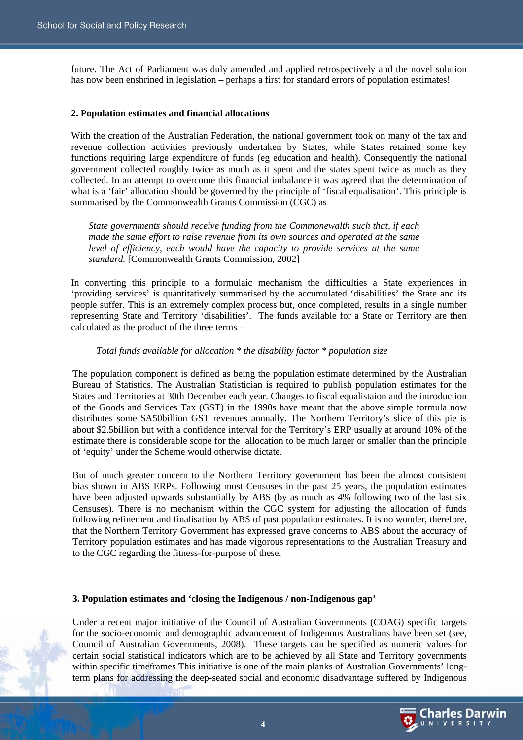future. The Act of Parliament was duly amended and applied retrospectively and the novel solution has now been enshrined in legislation – perhaps a first for standard errors of population estimates!

#### **2. Population estimates and financial allocations**

With the creation of the Australian Federation, the national government took on many of the tax and revenue collection activities previously undertaken by States, while States retained some key functions requiring large expenditure of funds (eg education and health). Consequently the national government collected roughly twice as much as it spent and the states spent twice as much as they collected. In an attempt to overcome this financial imbalance it was agreed that the determination of what is a 'fair' allocation should be governed by the principle of 'fiscal equalisation'. This principle is summarised by the Commonwealth Grants Commission (CGC) as

*State governments should receive funding from the Commonewalth such that, if each made the same effort to raise revenue from its own sources and operated at the same level of efficiency, each would have the capacity to provide services at the same standard.* [Commonwealth Grants Commission, 2002]

In converting this principle to a formulaic mechanism the difficulties a State experiences in 'providing services' is quantitatively summarised by the accumulated 'disabilities' the State and its people suffer. This is an extremely complex process but, once completed, results in a single number representing State and Territory 'disabilities'. The funds available for a State or Territory are then calculated as the product of the three terms –

#### *Total funds available for allocation \* the disability factor \* population size*

The population component is defined as being the population estimate determined by the Australian Bureau of Statistics. The Australian Statistician is required to publish population estimates for the States and Territories at 30th December each year. Changes to fiscal equalistaion and the introduction of the Goods and Services Tax (GST) in the 1990s have meant that the above simple formula now distributes some \$A50billion GST revenues annually. The Northern Territory's slice of this pie is about \$2.5billion but with a confidence interval for the Territory's ERP usually at around 10% of the estimate there is considerable scope for the allocation to be much larger or smaller than the principle of 'equity' under the Scheme would otherwise dictate.

But of much greater concern to the Northern Territory government has been the almost consistent bias shown in ABS ERPs. Following most Censuses in the past 25 years, the population estimates have been adjusted upwards substantially by ABS (by as much as 4% following two of the last six Censuses). There is no mechanism within the CGC system for adjusting the allocation of funds following refinement and finalisation by ABS of past population estimates. It is no wonder, therefore, that the Northern Territory Government has expressed grave concerns to ABS about the accuracy of Territory population estimates and has made vigorous representations to the Australian Treasury and to the CGC regarding the fitness-for-purpose of these.

#### **3. Population estimates and 'closing the Indigenous / non-Indigenous gap'**

Under a recent major initiative of the Council of Australian Governments (COAG) specific targets for the socio-economic and demographic advancement of Indigenous Australians have been set (see, Council of Australian Governments, 2008). These targets can be specified as numeric values for certain social statistical indicators which are to be achieved by all State and Territory governments within specific timeframes This initiative is one of the main planks of Australian Governments' longterm plans for addressing the deep-seated social and economic disadvantage suffered by Indigenous

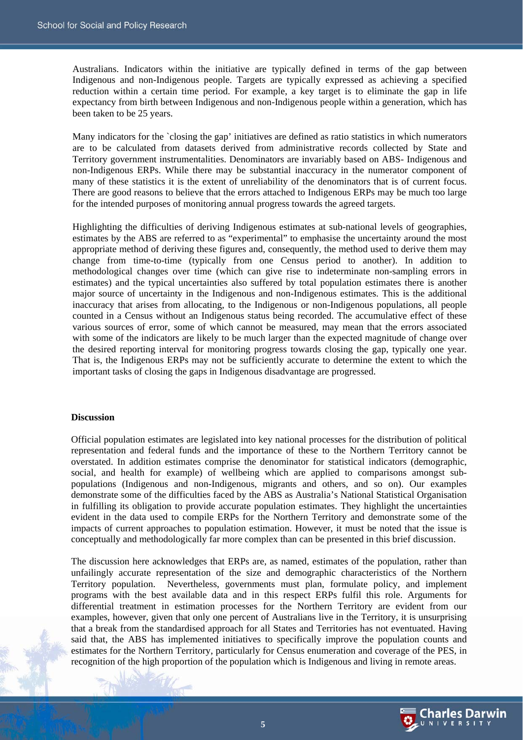Australians. Indicators within the initiative are typically defined in terms of the gap between Indigenous and non-Indigenous people. Targets are typically expressed as achieving a specified reduction within a certain time period. For example, a key target is to eliminate the gap in life expectancy from birth between Indigenous and non-Indigenous people within a generation, which has been taken to be 25 years.

Many indicators for the `closing the gap' initiatives are defined as ratio statistics in which numerators are to be calculated from datasets derived from administrative records collected by State and Territory government instrumentalities. Denominators are invariably based on ABS- Indigenous and non-Indigenous ERPs. While there may be substantial inaccuracy in the numerator component of many of these statistics it is the extent of unreliability of the denominators that is of current focus. There are good reasons to believe that the errors attached to Indigenous ERPs may be much too large for the intended purposes of monitoring annual progress towards the agreed targets.

Highlighting the difficulties of deriving Indigenous estimates at sub-national levels of geographies, estimates by the ABS are referred to as "experimental" to emphasise the uncertainty around the most appropriate method of deriving these figures and, consequently, the method used to derive them may change from time-to-time (typically from one Census period to another). In addition to methodological changes over time (which can give rise to indeterminate non-sampling errors in estimates) and the typical uncertainties also suffered by total population estimates there is another major source of uncertainty in the Indigenous and non-Indigenous estimates. This is the additional inaccuracy that arises from allocating, to the Indigenous or non-Indigenous populations, all people counted in a Census without an Indigenous status being recorded. The accumulative effect of these various sources of error, some of which cannot be measured, may mean that the errors associated with some of the indicators are likely to be much larger than the expected magnitude of change over the desired reporting interval for monitoring progress towards closing the gap, typically one year. That is, the Indigenous ERPs may not be sufficiently accurate to determine the extent to which the important tasks of closing the gaps in Indigenous disadvantage are progressed.

#### **Discussion**

Official population estimates are legislated into key national processes for the distribution of political representation and federal funds and the importance of these to the Northern Territory cannot be overstated. In addition estimates comprise the denominator for statistical indicators (demographic, social, and health for example) of wellbeing which are applied to comparisons amongst subpopulations (Indigenous and non-Indigenous, migrants and others, and so on). Our examples demonstrate some of the difficulties faced by the ABS as Australia's National Statistical Organisation in fulfilling its obligation to provide accurate population estimates. They highlight the uncertainties evident in the data used to compile ERPs for the Northern Territory and demonstrate some of the impacts of current approaches to population estimation. However, it must be noted that the issue is conceptually and methodologically far more complex than can be presented in this brief discussion.

The discussion here acknowledges that ERPs are, as named, estimates of the population, rather than unfailingly accurate representation of the size and demographic characteristics of the Northern Territory population. Nevertheless, governments must plan, formulate policy, and implement programs with the best available data and in this respect ERPs fulfil this role. Arguments for differential treatment in estimation processes for the Northern Territory are evident from our examples, however, given that only one percent of Australians live in the Territory, it is unsurprising that a break from the standardised approach for all States and Territories has not eventuated. Having said that, the ABS has implemented initiatives to specifically improve the population counts and estimates for the Northern Territory, particularly for Census enumeration and coverage of the PES, in recognition of the high proportion of the population which is Indigenous and living in remote areas.